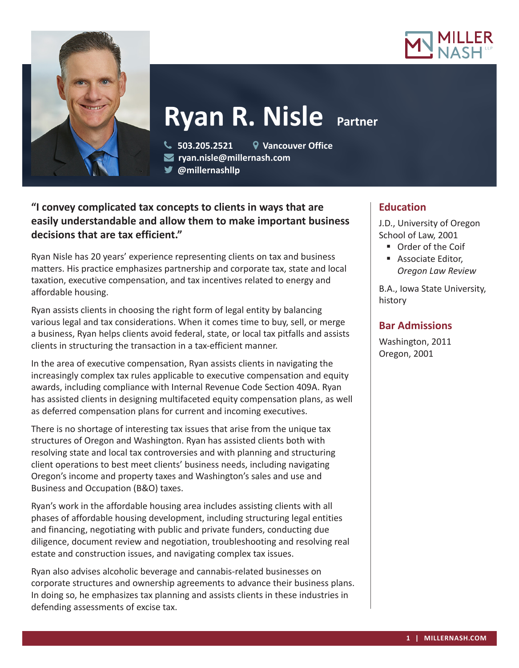



# **Ryan R. Nisle Partner**

**503.205.2521 Vancouver Office**

**ryan.nisle@millernash.com** 

**@millernashllp** 

## **"I convey complicated tax concepts to clients in ways that are easily understandable and allow them to make important business decisions that are tax efficient."**

Ryan Nisle has 20 years' experience representing clients on tax and business matters. His practice emphasizes partnership and corporate tax, state and local taxation, executive compensation, and tax incentives related to energy and affordable housing.

Ryan assists clients in choosing the right form of legal entity by balancing various legal and tax considerations. When it comes time to buy, sell, or merge a business, Ryan helps clients avoid federal, state, or local tax pitfalls and assists clients in structuring the transaction in a tax-efficient manner.

In the area of executive compensation, Ryan assists clients in navigating the increasingly complex tax rules applicable to executive compensation and equity awards, including compliance with Internal Revenue Code Section 409A. Ryan has assisted clients in designing multifaceted equity compensation plans, as well as deferred compensation plans for current and incoming executives.

There is no shortage of interesting tax issues that arise from the unique tax structures of Oregon and Washington. Ryan has assisted clients both with resolving state and local tax controversies and with planning and structuring client operations to best meet clients' business needs, including navigating Oregon's income and property taxes and Washington's sales and use and Business and Occupation (B&O) taxes.

Ryan's work in the affordable housing area includes assisting clients with all phases of affordable housing development, including structuring legal entities and financing, negotiating with public and private funders, conducting due diligence, document review and negotiation, troubleshooting and resolving real estate and construction issues, and navigating complex tax issues.

Ryan also advises alcoholic beverage and cannabis-related businesses on corporate structures and ownership agreements to advance their business plans. In doing so, he emphasizes tax planning and assists clients in these industries in defending assessments of excise tax.

# **Education**

J.D., University of Oregon School of Law, 2001

- Order of the Coif
- **Associate Editor,** *Oregon Law Review*

B.A., Iowa State University, history

## **Bar Admissions**

Washington, 2011 Oregon, 2001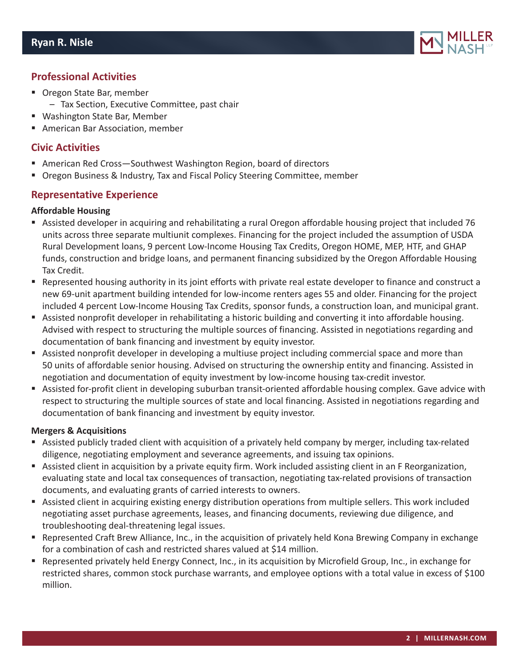

## **Professional Activities**

- Oregon State Bar, member
	- Tax Section, Executive Committee, past chair
- Washington State Bar, Member
- **American Bar Association, member**

## **Civic Activities**

- American Red Cross—Southwest Washington Region, board of directors
- **Dimes Business & Industry, Tax and Fiscal Policy Steering Committee, member**

### **Representative Experience**

#### **Affordable Housing**

- Assisted developer in acquiring and rehabilitating a rural Oregon affordable housing project that included 76 units across three separate multiunit complexes. Financing for the project included the assumption of USDA Rural Development loans, 9 percent Low-Income Housing Tax Credits, Oregon HOME, MEP, HTF, and GHAP funds, construction and bridge loans, and permanent financing subsidized by the Oregon Affordable Housing Tax Credit.
- Represented housing authority in its joint efforts with private real estate developer to finance and construct a new 69-unit apartment building intended for low-income renters ages 55 and older. Financing for the project included 4 percent Low-Income Housing Tax Credits, sponsor funds, a construction loan, and municipal grant.
- Assisted nonprofit developer in rehabilitating a historic building and converting it into affordable housing. Advised with respect to structuring the multiple sources of financing. Assisted in negotiations regarding and documentation of bank financing and investment by equity investor.
- Assisted nonprofit developer in developing a multiuse project including commercial space and more than 50 units of affordable senior housing. Advised on structuring the ownership entity and financing. Assisted in negotiation and documentation of equity investment by low-income housing tax-credit investor.
- Assisted for-profit client in developing suburban transit-oriented affordable housing complex. Gave advice with respect to structuring the multiple sources of state and local financing. Assisted in negotiations regarding and documentation of bank financing and investment by equity investor.

#### **Mergers & Acquisitions**

- Assisted publicly traded client with acquisition of a privately held company by merger, including tax-related diligence, negotiating employment and severance agreements, and issuing tax opinions.
- Assisted client in acquisition by a private equity firm. Work included assisting client in an F Reorganization, evaluating state and local tax consequences of transaction, negotiating tax-related provisions of transaction documents, and evaluating grants of carried interests to owners.
- Assisted client in acquiring existing energy distribution operations from multiple sellers. This work included negotiating asset purchase agreements, leases, and financing documents, reviewing due diligence, and troubleshooting deal-threatening legal issues.
- Represented Craft Brew Alliance, Inc., in the acquisition of privately held Kona Brewing Company in exchange for a combination of cash and restricted shares valued at \$14 million.
- Represented privately held Energy Connect, Inc., in its acquisition by Microfield Group, Inc., in exchange for restricted shares, common stock purchase warrants, and employee options with a total value in excess of \$100 million.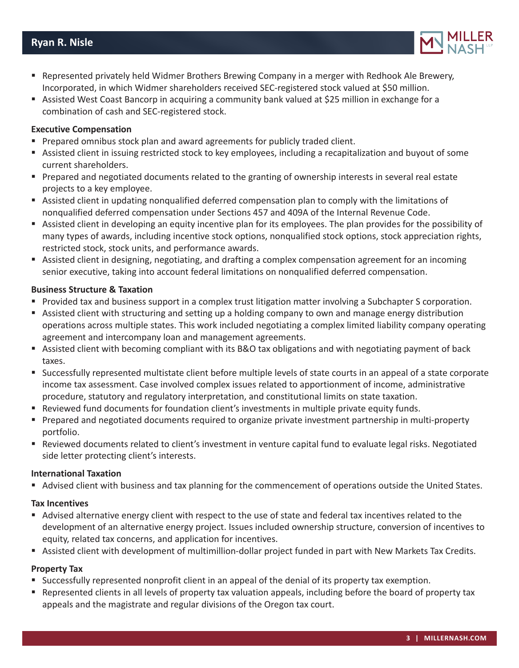## **Ryan R. Nisle**

- **•** Represented privately held Widmer Brothers Brewing Company in a merger with Redhook Ale Brewery, Incorporated, in which Widmer shareholders received SEC-registered stock valued at \$50 million.
- Assisted West Coast Bancorp in acquiring a community bank valued at \$25 million in exchange for a combination of cash and SEC-registered stock.

#### **Executive Compensation**

- **Prepared omnibus stock plan and award agreements for publicly traded client.**
- Assisted client in issuing restricted stock to key employees, including a recapitalization and buyout of some current shareholders.
- **Prepared and negotiated documents related to the granting of ownership interests in several real estate** projects to a key employee.
- Assisted client in updating nonqualified deferred compensation plan to comply with the limitations of nonqualified deferred compensation under Sections 457 and 409A of the Internal Revenue Code.
- Assisted client in developing an equity incentive plan for its employees. The plan provides for the possibility of many types of awards, including incentive stock options, nonqualified stock options, stock appreciation rights, restricted stock, stock units, and performance awards.
- Assisted client in designing, negotiating, and drafting a complex compensation agreement for an incoming senior executive, taking into account federal limitations on nonqualified deferred compensation.

#### **Business Structure & Taxation**

- Provided tax and business support in a complex trust litigation matter involving a Subchapter S corporation.
- Assisted client with structuring and setting up a holding company to own and manage energy distribution operations across multiple states. This work included negotiating a complex limited liability company operating agreement and intercompany loan and management agreements.
- Assisted client with becoming compliant with its B&O tax obligations and with negotiating payment of back taxes.
- Successfully represented multistate client before multiple levels of state courts in an appeal of a state corporate income tax assessment. Case involved complex issues related to apportionment of income, administrative procedure, statutory and regulatory interpretation, and constitutional limits on state taxation.
- Reviewed fund documents for foundation client's investments in multiple private equity funds.
- **Prepared and negotiated documents required to organize private investment partnership in multi-property** portfolio.
- Reviewed documents related to client's investment in venture capital fund to evaluate legal risks. Negotiated side letter protecting client's interests.

#### **International Taxation**

Advised client with business and tax planning for the commencement of operations outside the United States.

#### **Tax Incentives**

- Advised alternative energy client with respect to the use of state and federal tax incentives related to the development of an alternative energy project. Issues included ownership structure, conversion of incentives to equity, related tax concerns, and application for incentives.
- Assisted client with development of multimillion-dollar project funded in part with New Markets Tax Credits.

#### **Property Tax**

- Successfully represented nonprofit client in an appeal of the denial of its property tax exemption.
- Represented clients in all levels of property tax valuation appeals, including before the board of property tax appeals and the magistrate and regular divisions of the Oregon tax court.